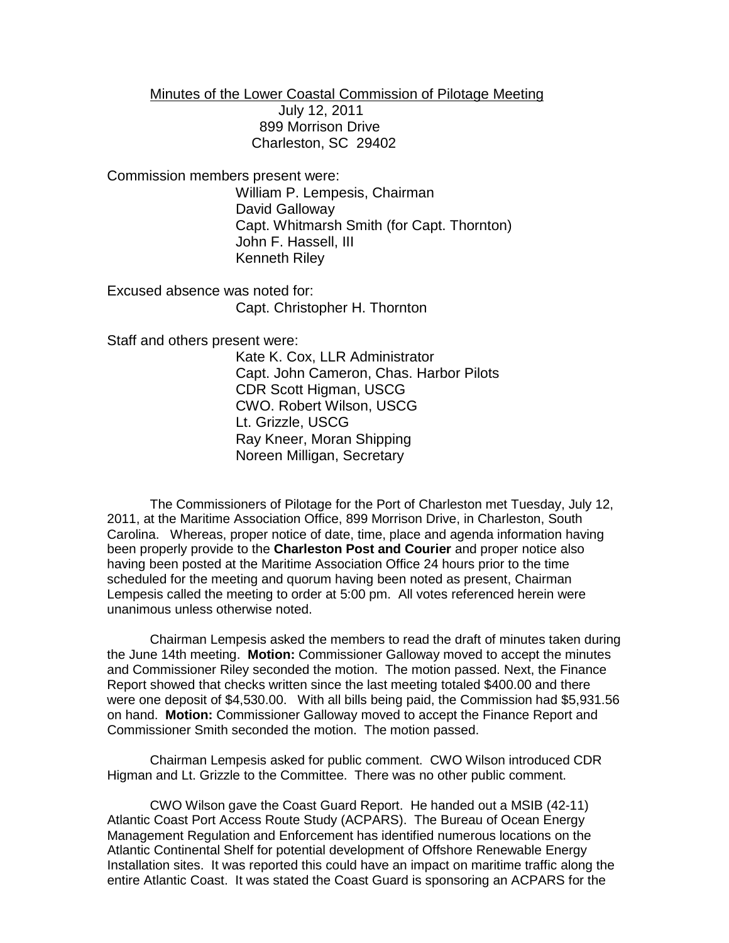Minutes of the Lower Coastal Commission of Pilotage Meeting

July 12, 2011 899 Morrison Drive Charleston, SC 29402

Commission members present were:

William P. Lempesis, Chairman David Galloway Capt. Whitmarsh Smith (for Capt. Thornton) John F. Hassell, III Kenneth Riley

Excused absence was noted for: Capt. Christopher H. Thornton

Staff and others present were:

Kate K. Cox, LLR Administrator Capt. John Cameron, Chas. Harbor Pilots CDR Scott Higman, USCG CWO. Robert Wilson, USCG Lt. Grizzle, USCG Ray Kneer, Moran Shipping Noreen Milligan, Secretary

The Commissioners of Pilotage for the Port of Charleston met Tuesday, July 12, 2011, at the Maritime Association Office, 899 Morrison Drive, in Charleston, South Carolina. Whereas, proper notice of date, time, place and agenda information having been properly provide to the **Charleston Post and Courier** and proper notice also having been posted at the Maritime Association Office 24 hours prior to the time scheduled for the meeting and quorum having been noted as present, Chairman Lempesis called the meeting to order at 5:00 pm. All votes referenced herein were unanimous unless otherwise noted.

Chairman Lempesis asked the members to read the draft of minutes taken during the June 14th meeting. **Motion:** Commissioner Galloway moved to accept the minutes and Commissioner Riley seconded the motion. The motion passed. Next, the Finance Report showed that checks written since the last meeting totaled \$400.00 and there were one deposit of \$4,530.00. With all bills being paid, the Commission had \$5,931.56 on hand. **Motion:** Commissioner Galloway moved to accept the Finance Report and Commissioner Smith seconded the motion. The motion passed.

Chairman Lempesis asked for public comment. CWO Wilson introduced CDR Higman and Lt. Grizzle to the Committee. There was no other public comment.

CWO Wilson gave the Coast Guard Report. He handed out a MSIB (42-11) Atlantic Coast Port Access Route Study (ACPARS). The Bureau of Ocean Energy Management Regulation and Enforcement has identified numerous locations on the Atlantic Continental Shelf for potential development of Offshore Renewable Energy Installation sites. It was reported this could have an impact on maritime traffic along the entire Atlantic Coast. It was stated the Coast Guard is sponsoring an ACPARS for the